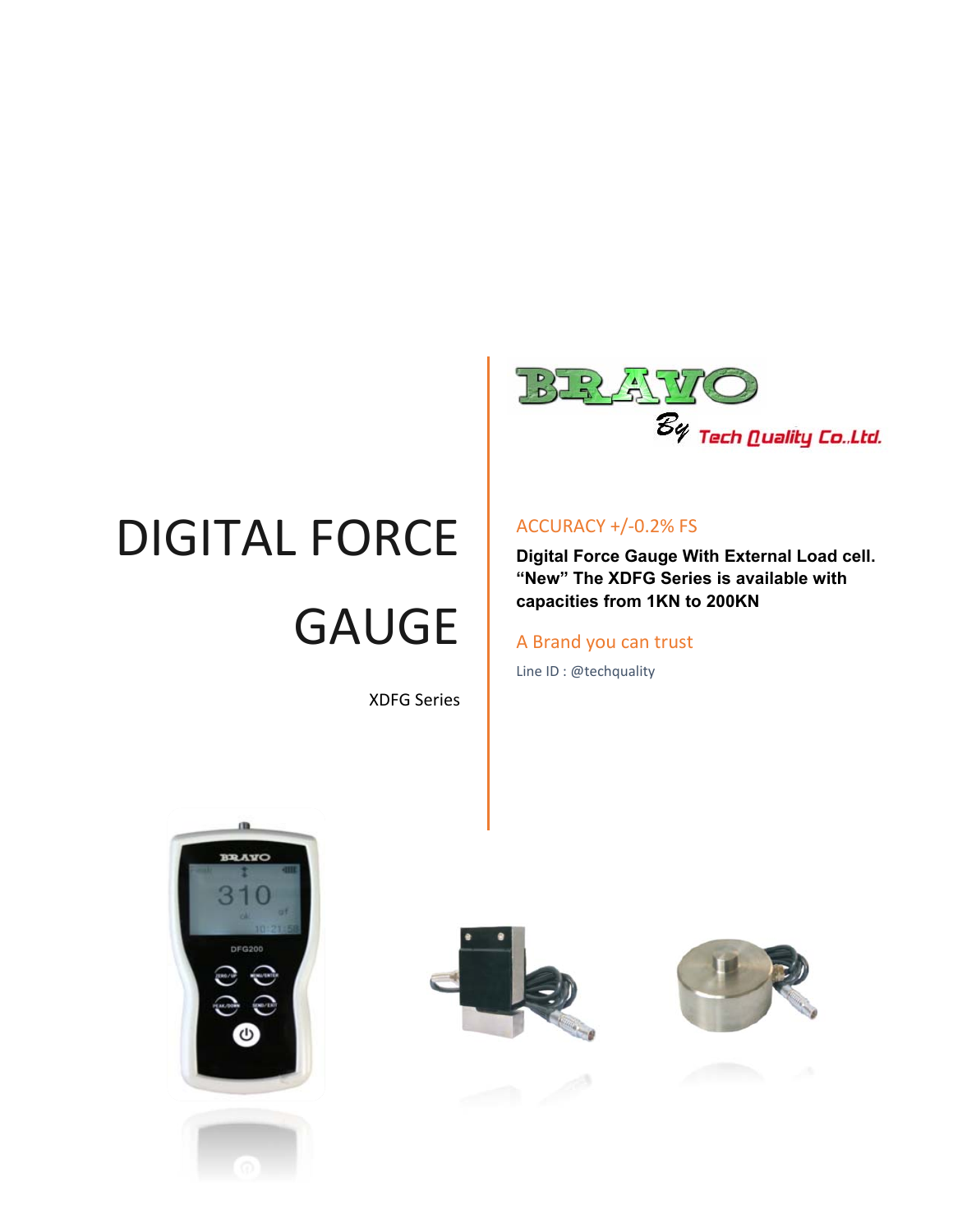

# DIGITAL FORCE GAUGE

XDFG Series

#### ACCURACY +/‐0.2% FS

**Digital Force Gauge With External Load cell. "New" The XDFG Series is available with capacities from 1KN to 200KN**

#### A Brand you can trust

Line ID : @techquality







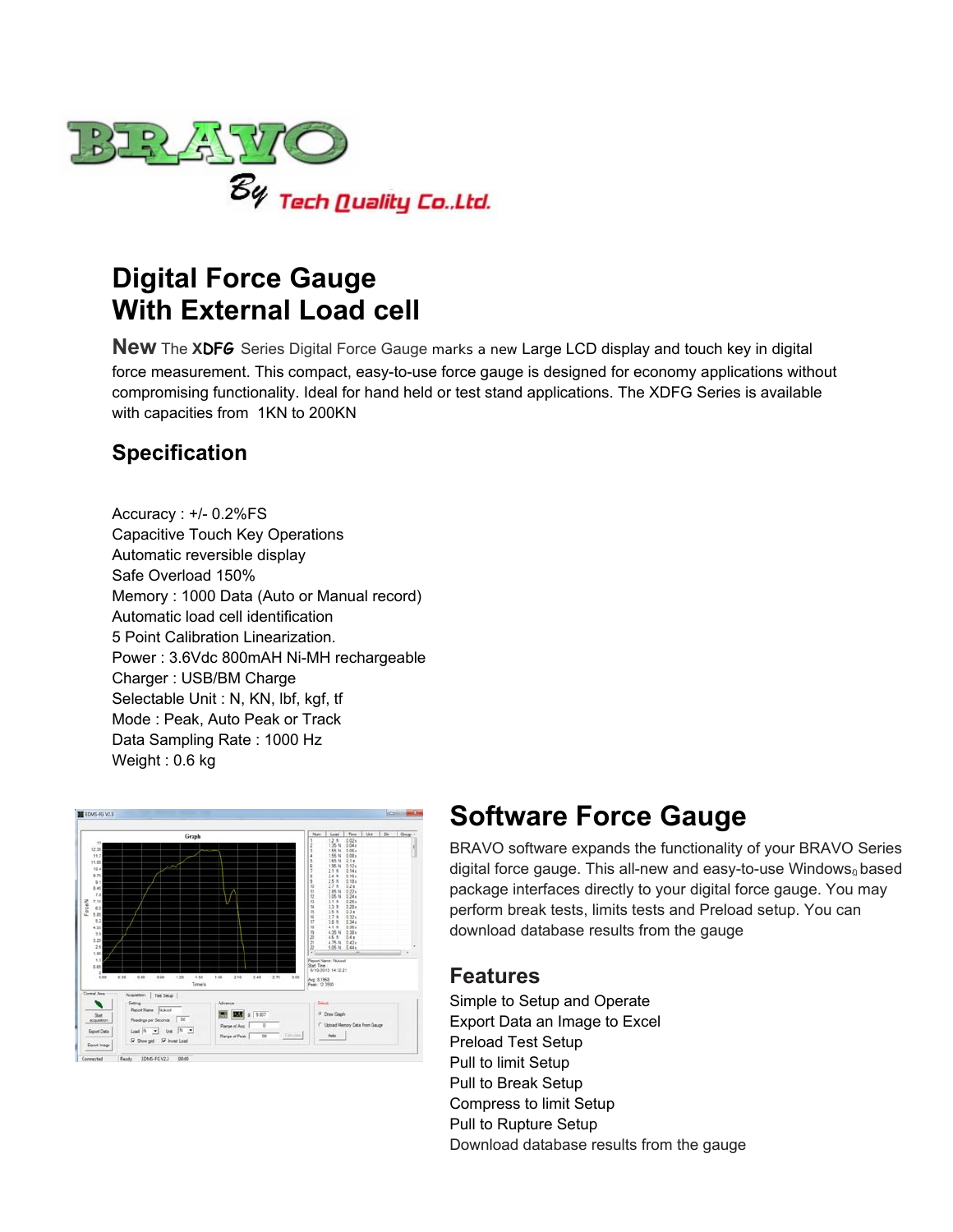

## **Digital Force Gauge With External Load cell**

**New** The **XDFG** Series Digital Force Gauge marks a new Large LCD display and touch key in digital force measurement. This compact, easy-to-use force gauge is designed for economy applications without compromising functionality. Ideal for hand held or test stand applications. The XDFG Series is available with capacities from 1KN to 200KN

## **Specification**

Accuracy : +/- 0.2%FS Capacitive Touch Key Operations Automatic reversible display Safe Overload 150% Memory : 1000 Data (Auto or Manual record) Automatic load cell identification 5 Point Calibration Linearization. Power : 3.6Vdc 800mAH Ni-MH rechargeable Charger : USB/BM Charge Selectable Unit : N, KN, lbf, kgf, tf Mode : Peak, Auto Peak or Track Data Sampling Rate : 1000 Hz Weight : 0.6 kg



## **Software Force Gauge**

BRAVO software expands the functionality of your BRAVO Series digital force gauge. This all-new and easy-to-use Windows<sup>ฎ</sup> based package interfaces directly to your digital force gauge. You may perform break tests, limits tests and Preload setup. You can download database results from the gauge

### **Features**

Simple to Setup and Operate Export Data an Image to Excel Preload Test Setup Pull to limit Setup Pull to Break Setup Compress to limit Setup Pull to Rupture Setup Download database results from the gauge